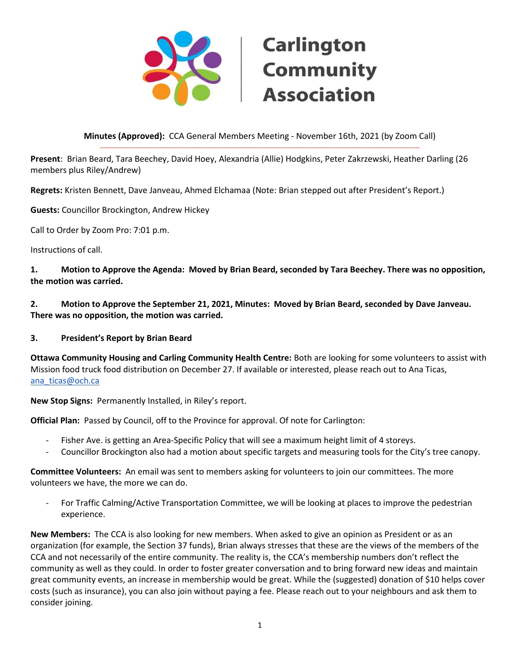

#### **Minutes (Approved):** CCA General Members Meeting - November 16th, 2021 (by Zoom Call) \_\_\_\_\_\_\_\_\_\_\_\_\_\_\_\_\_\_\_\_\_\_\_\_\_\_\_\_\_\_\_\_\_\_\_\_\_\_\_\_\_\_\_\_\_\_\_\_\_\_\_\_\_\_\_\_\_\_\_\_\_\_\_\_\_\_\_\_\_\_\_\_\_\_\_\_\_\_\_\_\_\_\_\_\_\_\_\_\_\_\_\_\_\_\_\_\_\_\_\_\_\_\_\_\_\_\_\_

**Present**: Brian Beard, Tara Beechey, David Hoey, Alexandria (Allie) Hodgkins, Peter Zakrzewski, Heather Darling (26 members plus Riley/Andrew)

**Regrets:** Kristen Bennett, Dave Janveau, Ahmed Elchamaa (Note: Brian stepped out after President's Report.)

**Guests:** Councillor Brockington, Andrew Hickey

Call to Order by Zoom Pro: 7:01 p.m.

Instructions of call.

**1. Motion to Approve the Agenda: Moved by Brian Beard, seconded by Tara Beechey. There was no opposition, the motion was carried.** 

**2. Motion to Approve the September 21, 2021, Minutes: Moved by Brian Beard, seconded by Dave Janveau. There was no opposition, the motion was carried.**

#### **3. President's Report by Brian Beard**

**Ottawa Community Housing and Carling Community Health Centre:** Both are looking for some volunteers to assist with Mission food truck food distribution on December 27. If available or interested, please reach out to Ana Ticas, [ana\\_ticas@och.ca](mailto:ana_ticas@och.ca)

**New Stop Signs:** Permanently Installed, in Riley's report.

**Official Plan:** Passed by Council, off to the Province for approval. Of note for Carlington:

- Fisher Ave. is getting an Area-Specific Policy that will see a maximum height limit of 4 storeys.
- Councillor Brockington also had a motion about specific targets and measuring tools for the City's tree canopy.

**Committee Volunteers:** An email was sent to members asking for volunteers to join our committees. The more volunteers we have, the more we can do.

- For Traffic Calming/Active Transportation Committee, we will be looking at places to improve the pedestrian experience.

**New Members:** The CCA is also looking for new members. When asked to give an opinion as President or as an organization (for example, the Section 37 funds), Brian always stresses that these are the views of the members of the CCA and not necessarily of the entire community. The reality is, the CCA's membership numbers don't reflect the community as well as they could. In order to foster greater conversation and to bring forward new ideas and maintain great community events, an increase in membership would be great. While the (suggested) donation of \$10 helps cover costs (such as insurance), you can also join without paying a fee. Please reach out to your neighbours and ask them to consider joining.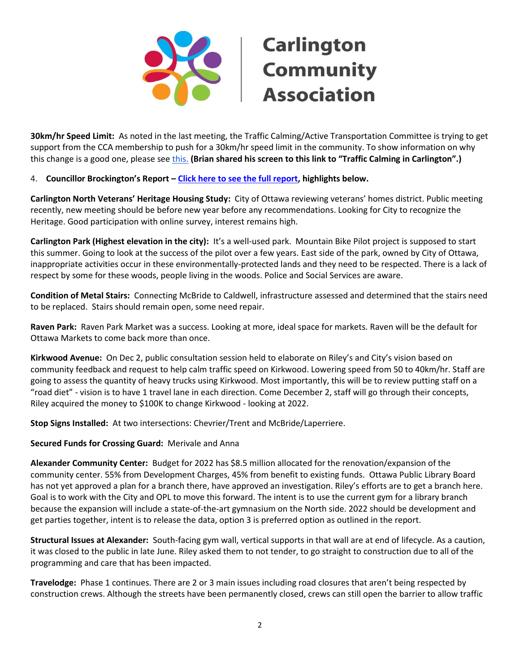

**30km/hr Speed Limit:** As noted in the last meeting, the Traffic Calming/Active Transportation Committee is trying to get support from the CCA membership to push for a 30km/hr speed limit in the community. To show information on why this change is a good one, please see [this.](https://www.arcgis.com/apps/dashboards/30281485011c44549a5468431a6ae200) **(Brian shared his screen to this link to "Traffic Calming in Carlington".)** 

#### 4. **Councillor Brockington's Report – [Click here to see the full report,](https://www.carlingtoncommunity.org/wp-content/uploads/2022/02/2021-11-16-counc-rpt-from-cca-mtg.pdf) highlights below.**

**Carlington North Veterans' Heritage Housing Study:** City of Ottawa reviewing veterans' homes district. Public meeting recently, new meeting should be before new year before any recommendations. Looking for City to recognize the Heritage. Good participation with online survey, interest remains high.

**Carlington Park (Highest elevation in the city):** It's a well-used park. Mountain Bike Pilot project is supposed to start this summer. Going to look at the success of the pilot over a few years. East side of the park, owned by City of Ottawa, inappropriate activities occur in these environmentally-protected lands and they need to be respected. There is a lack of respect by some for these woods, people living in the woods. Police and Social Services are aware.

**Condition of Metal Stairs:** Connecting McBride to Caldwell, infrastructure assessed and determined that the stairs need to be replaced. Stairs should remain open, some need repair.

**Raven Park:** Raven Park Market was a success. Looking at more, ideal space for markets. Raven will be the default for Ottawa Markets to come back more than once.

**Kirkwood Avenue:** On Dec 2, public consultation session held to elaborate on Riley's and City's vision based on community feedback and request to help calm traffic speed on Kirkwood. Lowering speed from 50 to 40km/hr. Staff are going to assess the quantity of heavy trucks using Kirkwood. Most importantly, this will be to review putting staff on a "road diet" - vision is to have 1 travel lane in each direction. Come December 2, staff will go through their concepts, Riley acquired the money to \$100K to change Kirkwood - looking at 2022.

**Stop Signs Installed:** At two intersections: Chevrier/Trent and McBride/Laperriere.

#### **Secured Funds for Crossing Guard:** Merivale and Anna

**Alexander Community Center:** Budget for 2022 has \$8.5 million allocated for the renovation/expansion of the community center. 55% from Development Charges, 45% from benefit to existing funds. Ottawa Public Library Board has not yet approved a plan for a branch there, have approved an investigation. Riley's efforts are to get a branch here. Goal is to work with the City and OPL to move this forward. The intent is to use the current gym for a library branch because the expansion will include a state-of-the-art gymnasium on the North side. 2022 should be development and get parties together, intent is to release the data, option 3 is preferred option as outlined in the report.

**Structural Issues at Alexander:** South-facing gym wall, vertical supports in that wall are at end of lifecycle. As a caution, it was closed to the public in late June. Riley asked them to not tender, to go straight to construction due to all of the programming and care that has been impacted.

**Travelodge:** Phase 1 continues. There are 2 or 3 main issues including road closures that aren't being respected by construction crews. Although the streets have been permanently closed, crews can still open the barrier to allow traffic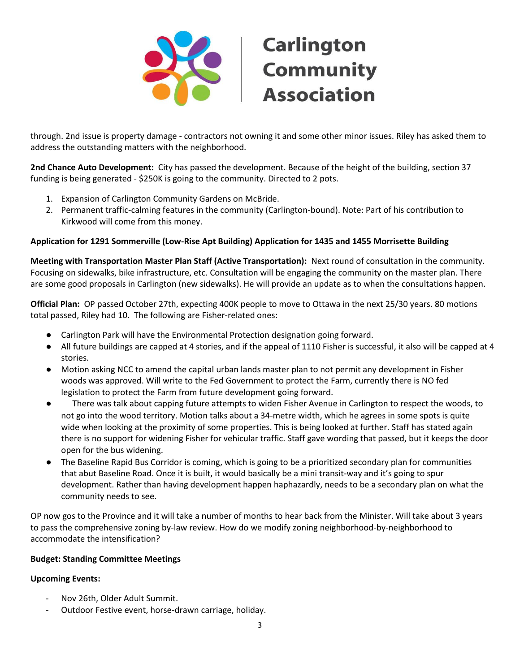

through. 2nd issue is property damage - contractors not owning it and some other minor issues. Riley has asked them to address the outstanding matters with the neighborhood.

**2nd Chance Auto Development:** City has passed the development. Because of the height of the building, section 37 funding is being generated - \$250K is going to the community. Directed to 2 pots.

- 1. Expansion of Carlington Community Gardens on McBride.
- 2. Permanent traffic-calming features in the community (Carlington-bound). Note: Part of his contribution to Kirkwood will come from this money.

#### **Application for 1291 Sommerville (Low-Rise Apt Building) Application for 1435 and 1455 Morrisette Building**

**Meeting with Transportation Master Plan Staff (Active Transportation):** Next round of consultation in the community. Focusing on sidewalks, bike infrastructure, etc. Consultation will be engaging the community on the master plan. There are some good proposals in Carlington (new sidewalks). He will provide an update as to when the consultations happen.

**Official Plan:** OP passed October 27th, expecting 400K people to move to Ottawa in the next 25/30 years. 80 motions total passed, Riley had 10. The following are Fisher-related ones:

- Carlington Park will have the Environmental Protection designation going forward.
- All future buildings are capped at 4 stories, and if the appeal of 1110 Fisher is successful, it also will be capped at 4 stories.
- Motion asking NCC to amend the capital urban lands master plan to not permit any development in Fisher woods was approved. Will write to the Fed Government to protect the Farm, currently there is NO fed legislation to protect the Farm from future development going forward.
- There was talk about capping future attempts to widen Fisher Avenue in Carlington to respect the woods, to not go into the wood territory. Motion talks about a 34-metre width, which he agrees in some spots is quite wide when looking at the proximity of some properties. This is being looked at further. Staff has stated again there is no support for widening Fisher for vehicular traffic. Staff gave wording that passed, but it keeps the door open for the bus widening.
- The Baseline Rapid Bus Corridor is coming, which is going to be a prioritized secondary plan for communities that abut Baseline Road. Once it is built, it would basically be a mini transit-way and it's going to spur development. Rather than having development happen haphazardly, needs to be a secondary plan on what the community needs to see.

OP now gos to the Province and it will take a number of months to hear back from the Minister. Will take about 3 years to pass the comprehensive zoning by-law review. How do we modify zoning neighborhood-by-neighborhood to accommodate the intensification?

#### **Budget: Standing Committee Meetings**

#### **Upcoming Events:**

- Nov 26th, Older Adult Summit.
- Outdoor Festive event, horse-drawn carriage, holiday.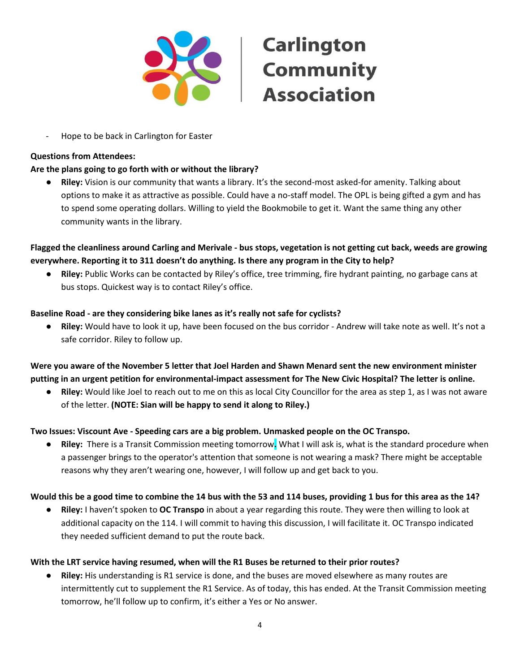

Hope to be back in Carlington for Easter

#### **Questions from Attendees:**

#### **Are the plans going to go forth with or without the library?**

● **Riley:** Vision is our community that wants a library. It's the second-most asked-for amenity. Talking about options to make it as attractive as possible. Could have a no-staff model. The OPL is being gifted a gym and has to spend some operating dollars. Willing to yield the Bookmobile to get it. Want the same thing any other community wants in the library.

**Flagged the cleanliness around Carling and Merivale - bus stops, vegetation is not getting cut back, weeds are growing everywhere. Reporting it to 311 doesn't do anything. Is there any program in the City to help?** 

● **Riley:** Public Works can be contacted by Riley's office, tree trimming, fire hydrant painting, no garbage cans at bus stops. Quickest way is to contact Riley's office.

#### **Baseline Road - are they considering bike lanes as it's really not safe for cyclists?**

● **Riley:** Would have to look it up, have been focused on the bus corridor - Andrew will take note as well. It's not a safe corridor. Riley to follow up.

**Were you aware of the November 5 letter that Joel Harden and Shawn Menard sent the new environment minister putting in an urgent petition for environmental-impact assessment for The New Civic Hospital? The letter is online.**

● **Riley:** Would like Joel to reach out to me on this as local City Councillor for the area as step 1, as I was not aware of the letter. **(NOTE: Sian will be happy to send it along to Riley.)**

#### **Two Issues: Viscount Ave - Speeding cars are a big problem. Unmasked people on the OC Transpo.**

● **Riley:** There is a Transit Commission meeting tomorrow**.** What I will ask is, what is the standard procedure when a passenger brings to the operator's attention that someone is not wearing a mask? There might be acceptable reasons why they aren't wearing one, however, I will follow up and get back to you.

#### **Would this be a good time to combine the 14 bus with the 53 and 114 buses, providing 1 bus for this area as the 14?**

● **Riley:** I haven't spoken to **OC Transpo** in about a year regarding this route. They were then willing to look at additional capacity on the 114. I will commit to having this discussion, I will facilitate it. OC Transpo indicated they needed sufficient demand to put the route back.

#### **With the LRT service having resumed, when will the R1 Buses be returned to their prior routes?**

**Riley:** His understanding is R1 service is done, and the buses are moved elsewhere as many routes are intermittently cut to supplement the R1 Service. As of today, this has ended. At the Transit Commission meeting tomorrow, he'll follow up to confirm, it's either a Yes or No answer.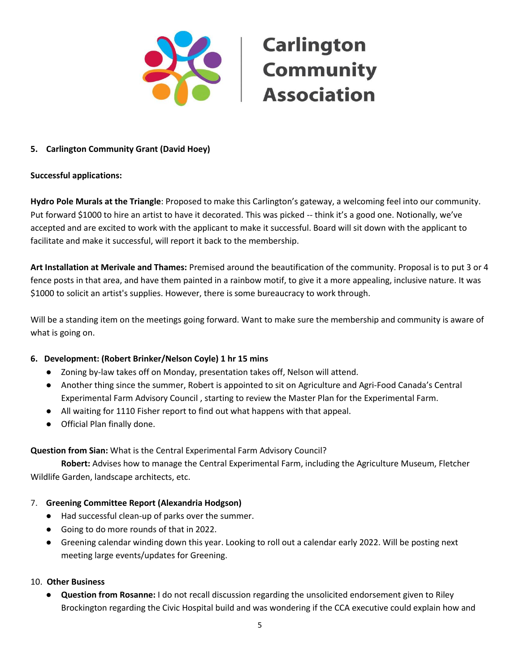

#### **5. Carlington Community Grant (David Hoey)**

#### **Successful applications:**

**Hydro Pole Murals at the Triangle**: Proposed to make this Carlington's gateway, a welcoming feel into our community. Put forward \$1000 to hire an artist to have it decorated. This was picked -- think it's a good one. Notionally, we've accepted and are excited to work with the applicant to make it successful. Board will sit down with the applicant to facilitate and make it successful, will report it back to the membership.

**Art Installation at Merivale and Thames:** Premised around the beautification of the community. Proposal is to put 3 or 4 fence posts in that area, and have them painted in a rainbow motif, to give it a more appealing, inclusive nature. It was \$1000 to solicit an artist's supplies. However, there is some bureaucracy to work through.

Will be a standing item on the meetings going forward. Want to make sure the membership and community is aware of what is going on.

#### **6. Development: (Robert Brinker/Nelson Coyle) 1 hr 15 mins**

- Zoning by-law takes off on Monday, presentation takes off, Nelson will attend.
- Another thing since the summer, Robert is appointed to sit on Agriculture and Agri-Food Canada's Central Experimental Farm Advisory Council , starting to review the Master Plan for the Experimental Farm.
- All waiting for 1110 Fisher report to find out what happens with that appeal.
- Official Plan finally done.

#### **Question from Sian:** What is the Central Experimental Farm Advisory Council?

**Robert:** Advises how to manage the Central Experimental Farm, including the Agriculture Museum, Fletcher Wildlife Garden, landscape architects, etc.

#### 7. **Greening Committee Report (Alexandria Hodgson)**

- Had successful clean-up of parks over the summer.
- Going to do more rounds of that in 2022.
- Greening calendar winding down this year. Looking to roll out a calendar early 2022. Will be posting next meeting large events/updates for Greening.

#### 10. **Other Business**

● **Question from Rosanne:** I do not recall discussion regarding the unsolicited endorsement given to Riley Brockington regarding the Civic Hospital build and was wondering if the CCA executive could explain how and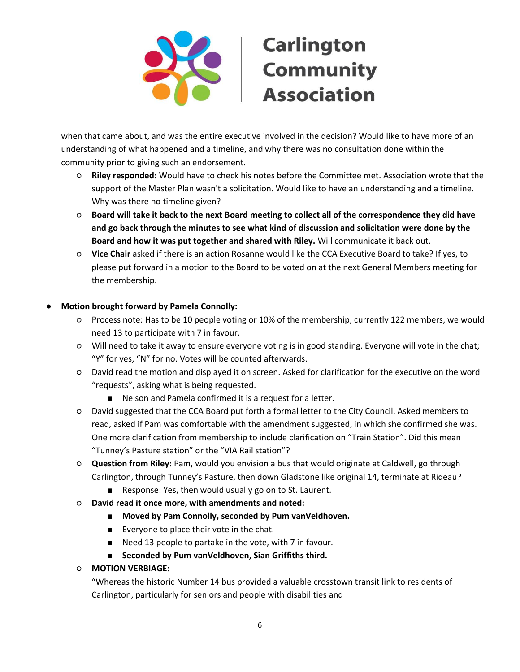

when that came about, and was the entire executive involved in the decision? Would like to have more of an understanding of what happened and a timeline, and why there was no consultation done within the community prior to giving such an endorsement.

- **Riley responded:** Would have to check his notes before the Committee met. Association wrote that the support of the Master Plan wasn't a solicitation. Would like to have an understanding and a timeline. Why was there no timeline given?
- **Board will take it back to the next Board meeting to collect all of the correspondence they did have and go back through the minutes to see what kind of discussion and solicitation were done by the Board and how it was put together and shared with Riley.** Will communicate it back out.
- **Vice Chair** asked if there is an action Rosanne would like the CCA Executive Board to take? If yes, to please put forward in a motion to the Board to be voted on at the next General Members meeting for the membership.

### **Motion brought forward by Pamela Connolly:**

- Process note: Has to be 10 people voting or 10% of the membership, currently 122 members, we would need 13 to participate with 7 in favour.
- Will need to take it away to ensure everyone voting is in good standing. Everyone will vote in the chat; "Y" for yes, "N" for no. Votes will be counted afterwards.
- David read the motion and displayed it on screen. Asked for clarification for the executive on the word "requests", asking what is being requested.
	- Nelson and Pamela confirmed it is a request for a letter.
- David suggested that the CCA Board put forth a formal letter to the City Council. Asked members to read, asked if Pam was comfortable with the amendment suggested, in which she confirmed she was. One more clarification from membership to include clarification on "Train Station". Did this mean "Tunney's Pasture station" or the "VIA Rail station"?
- **Question from Riley:** Pam, would you envision a bus that would originate at Caldwell, go through Carlington, through Tunney's Pasture, then down Gladstone like original 14, terminate at Rideau?
	- Response: Yes, then would usually go on to St. Laurent.
- **David read it once more, with amendments and noted:**
	- Moved by Pam Connolly, seconded by Pum vanVeldhoven.
	- Everyone to place their vote in the chat.
	- Need 13 people to partake in the vote, with 7 in favour.
	- **Seconded by Pum vanVeldhoven, Sian Griffiths third.**
- **MOTION VERBIAGE:**

"Whereas the historic Number 14 bus provided a valuable crosstown transit link to residents of Carlington, particularly for seniors and people with disabilities and